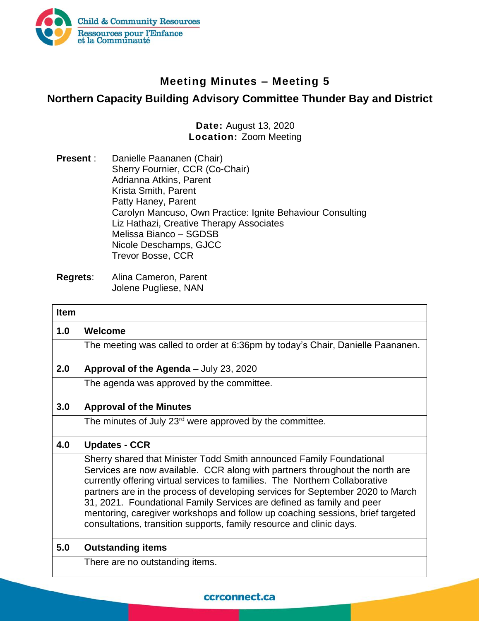

## **Meeting Minutes – Meeting 5**

## **Northern Capacity Building Advisory Committee Thunder Bay and District**

**Date:** August 13, 2020 **Location:** Zoom Meeting

**Present** : Danielle Paananen (Chair) Sherry Fournier, CCR (Co-Chair) Adrianna Atkins, Parent Krista Smith, Parent Patty Haney, Parent Carolyn Mancuso, Own Practice: Ignite Behaviour Consulting Liz Hathazi, Creative Therapy Associates Melissa Bianco – SGDSB Nicole Deschamps, GJCC Trevor Bosse, CCR

| <b>Item</b> |                                                                                                                                                                                                                                                                                                                                                                                                                                                                                                                                                          |
|-------------|----------------------------------------------------------------------------------------------------------------------------------------------------------------------------------------------------------------------------------------------------------------------------------------------------------------------------------------------------------------------------------------------------------------------------------------------------------------------------------------------------------------------------------------------------------|
| 1.0         | Welcome                                                                                                                                                                                                                                                                                                                                                                                                                                                                                                                                                  |
|             | The meeting was called to order at 6:36pm by today's Chair, Danielle Paananen.                                                                                                                                                                                                                                                                                                                                                                                                                                                                           |
| 2.0         | Approval of the Agenda - July 23, 2020                                                                                                                                                                                                                                                                                                                                                                                                                                                                                                                   |
|             | The agenda was approved by the committee.                                                                                                                                                                                                                                                                                                                                                                                                                                                                                                                |
| 3.0         | <b>Approval of the Minutes</b>                                                                                                                                                                                                                                                                                                                                                                                                                                                                                                                           |
|             | The minutes of July 23 <sup>rd</sup> were approved by the committee.                                                                                                                                                                                                                                                                                                                                                                                                                                                                                     |
| 4.0         | <b>Updates - CCR</b>                                                                                                                                                                                                                                                                                                                                                                                                                                                                                                                                     |
|             | Sherry shared that Minister Todd Smith announced Family Foundational<br>Services are now available. CCR along with partners throughout the north are<br>currently offering virtual services to families. The Northern Collaborative<br>partners are in the process of developing services for September 2020 to March<br>31, 2021. Foundational Family Services are defined as family and peer<br>mentoring, caregiver workshops and follow up coaching sessions, brief targeted<br>consultations, transition supports, family resource and clinic days. |
| 5.0         | <b>Outstanding items</b>                                                                                                                                                                                                                                                                                                                                                                                                                                                                                                                                 |
|             | There are no outstanding items.                                                                                                                                                                                                                                                                                                                                                                                                                                                                                                                          |

## ccrconnect.ca

**Regrets**: Alina Cameron, Parent Jolene Pugliese, NAN